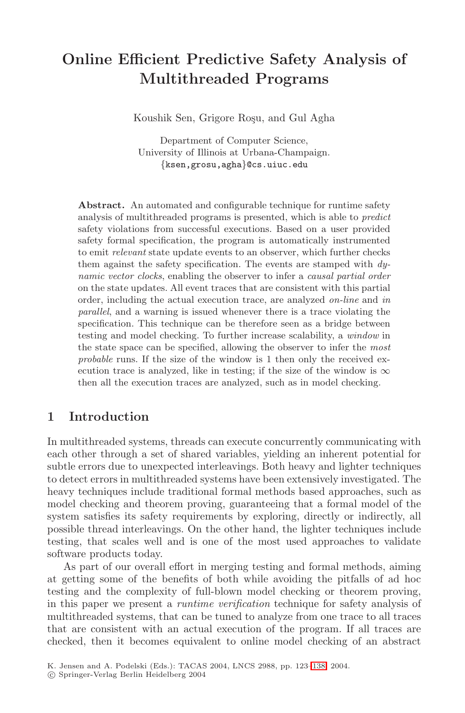# **Online Efficient Predictive Safety Analysis of Multithreaded Programs**

Koushik Sen, Grigore Roșu, and Gul Agha

Department of Computer Science, University of Illinois at Urbana-Champaign. {ksen,grosu,agha}@cs.uiuc.edu

**Abstract.** An automated and configurable technique for runtime safety analysis of multithreaded programs is presented, which is able to predict safety violations from successful executions. Based on a user provided safety formal specification, the program is automatically instrumented to emit relevant state update events to an observer, which further checks them against the safety specification. The events are stamped with dynamic vector clocks, enabling the observer to infer a causal partial order on the state updates. All event traces that are consistent with this partial order, including the actual execution trace, are analyzed on-line and in parallel, and a warning is issued whenever there is a trace violating the specification. This technique can be therefore seen as a bridge between testing and model checking. To further increase scalability, a window in the state space can be specified, allowing the observer to infer the most probable runs. If the size of the window is 1 then only the received execution trace is analyzed, like in testing; if the size of the window is  $\infty$ then all the execution traces are analyzed, such as in model checking.

# **1 Introduction**

In multithreaded systems, threads can execute concurrently communicating with each other through a set of shared variables, yielding an inherent potential for subtle errors due to unexpected interleavings. Both heavy and lighter techniques to detect errors in multithreaded systems have been extensively investigated. The heavy techniques include traditional formal methods based approaches, such as model checking and theorem proving, guaranteeing that a formal model of the system satisfies its safety requirements by exploring, directly or indirectly, all possible thread interleavings. On the other hand, the lighter techniques include testing, that scales well and is one of the most used approaches to validate software products today.

As part of our overall effort in merging testing and formal methods, aiming at getting some of the benefits of both while avoiding the pitfalls of ad hoc testing and the complexity of full-blown model checking or theorem proving, in this paper we present a *runtime verification* technique for safety analysis of multithreaded systems, that can be tuned to analyze from one trace to all traces that are consistent with an actual execution of the program. If all traces are checked, then it becomes equivalent to online model checking of an abstract

K. Jensen and A. Podelski (Eds.): TACAS 2004, LNCS 2988, pp. 123[–138,](#page-14-0) 2004.

c Springer-Verlag Berlin Heidelberg 2004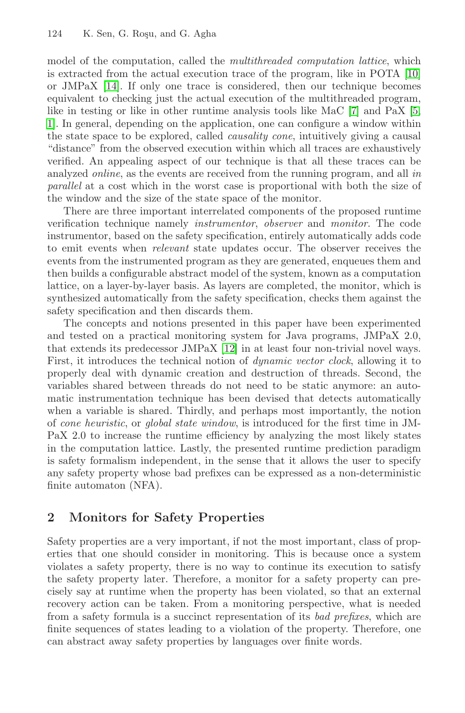model of the computation, called the *multithreaded computation lattice*, which is extracted from the actual execution trace of the program, like in POTA [\[10\]](#page-14-0) or JMPaX [\[14\]](#page-15-0). If only one trace is considered, then our technique becomes equivalent to checking just the actual execution of the multithreaded program, like in testing or like in other runtime analysis tools like MaC [\[7\]](#page-14-0) and PaX [\[5,](#page-14-0) [1\]](#page-14-0). In general, depending on the application, one can configure a window within the state space to be explored, called *causality cone*, intuitively giving a causal "distance" from the observed execution within which all traces are exhaustively verified. An appealing aspect of our technique is that all these traces can be analyzed *online*, as the events are received from the running program, and all *in parallel* at a cost which in the worst case is proportional with both the size of the window and the size of the state space of the monitor.

There are three important interrelated components of the proposed runtime verification technique namely *instrumentor*, *observer* and *monitor*. The code instrumentor, based on the safety specification, entirely automatically adds code to emit events when *relevant* state updates occur. The observer receives the events from the instrumented program as they are generated, enqueues them and then builds a configurable abstract model of the system, known as a computation lattice, on a layer-by-layer basis. As layers are completed, the monitor, which is synthesized automatically from the safety specification, checks them against the safety specification and then discards them.

The concepts and notions presented in this paper have been experimented and tested on a practical monitoring system for Java programs, JMPaX 2.0, that extends its predecessor JMPaX [\[12\]](#page-15-0) in at least four non-trivial novel ways. First, it introduces the technical notion of *dynamic vector clock*, allowing it to properly deal with dynamic creation and destruction of threads. Second, the variables shared between threads do not need to be static anymore: an automatic instrumentation technique has been devised that detects automatically when a variable is shared. Thirdly, and perhaps most importantly, the notion of *cone heuristic*, or *global state window*, is introduced for the first time in JM-PaX 2.0 to increase the runtime efficiency by analyzing the most likely states in the computation lattice. Lastly, the presented runtime prediction paradigm is safety formalism independent, in the sense that it allows the user to specify any safety property whose bad prefixes can be expressed as a non-deterministic finite automaton (NFA).

# **2 Monitors for Safety Properties**

Safety properties are a very important, if not the most important, class of properties that one should consider in monitoring. This is because once a system violates a safety property, there is no way to continue its execution to satisfy the safety property later. Therefore, a monitor for a safety property can precisely say at runtime when the property has been violated, so that an external recovery action can be taken. From a monitoring perspective, what is needed from a safety formula is a succinct representation of its *bad prefixes*, which are finite sequences of states leading to a violation of the property. Therefore, one can abstract away safety properties by languages over finite words.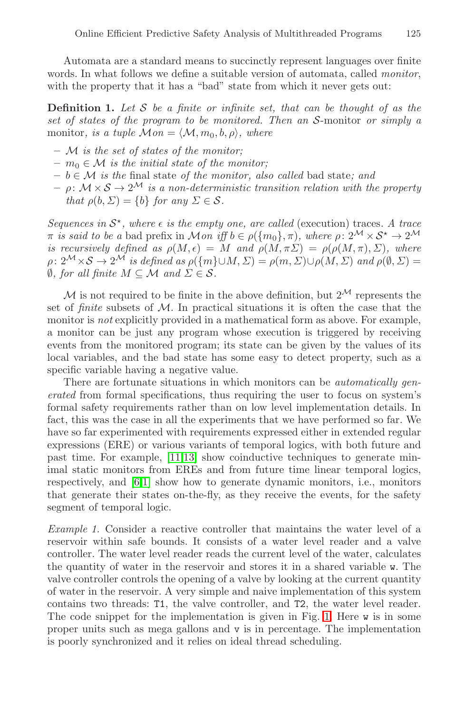<span id="page-2-0"></span>Automata are a standard means to succinctly represent languages over finite words. In what follows we define a suitable version of automata, called *monitor*, with the property that it has a "bad" state from which it never gets out:

**Definition 1.** *Let* S *be a finite or infinite set, that can be thought of as the set of states of the program to be monitored. Then an* S-monitor *or simply a* monitor, is a tuple  $\mathcal{M}$ *on* =  $\langle \mathcal{M}, m_0, b, \rho \rangle$ , where

- **–** M *is the set of states of the monitor;*
- $m_0 \in M$  *is the initial state of the monitor;*
- **–** b ∈ M *is the* final state *of the monitor, also called* bad state*; and*
- $-\rho\colon \mathcal{M}\times\mathcal{S}\to 2^{\mathcal{M}}$  *is a non-deterministic transition relation with the property that*  $\rho(b, \Sigma) = \{b\}$  *for any*  $\Sigma \in \mathcal{S}$ *.*

*Sequences in*  $S^*$ , where  $\epsilon$  *is the empty one, are called* (execution) traces. A trace  $\pi$  *is said to be a* bad prefix in Mon iff  $b \in \rho({m_0}, \pi)$ , where  $\rho: 2^{\mathcal{M}} \times S^* \to 2^{\mathcal{M}}$ *is recursively defined as*  $\rho(M, \epsilon) = M$  *and*  $\rho(M, \pi \Sigma) = \rho(\rho(M, \pi), \Sigma)$ *, where*  $\rho: 2^{\mathcal{M}} \times \mathcal{S} \to 2^{\mathcal{M}}$  *is defined as*  $\rho({m \brace \cup M, \Sigma}) = \rho(m, \Sigma) \cup \rho(M, \Sigma)$  *and*  $\rho(\emptyset, \Sigma) =$ ∅*, for all finite* M ⊆ M *and* Σ ∈ S*.*

M is not required to be finite in the above definition, but  $2^{\mathcal{M}}$  represents the set of *finite* subsets of  $M$ . In practical situations it is often the case that the monitor is *not* explicitly provided in a mathematical form as above. For example, a monitor can be just any program whose execution is triggered by receiving events from the monitored program; its state can be given by the values of its local variables, and the bad state has some easy to detect property, such as a specific variable having a negative value.

There are fortunate situations in which monitors can be *automatically generated* from formal specifications, thus requiring the user to focus on system's formal safety requirements rather than on low level implementation details. In fact, this was the case in all the experiments that we have performed so far. We have so far experimented with requirements expressed either in extended regular expressions (ERE) or various variants of temporal logics, with both future and past time. For example, [\[11,13\]](#page-15-0) show coinductive techniques to generate minimal static monitors from EREs and from future time linear temporal logics, respectively, and [\[6,1\]](#page-14-0) show how to generate dynamic monitors, i.e., monitors that generate their states on-the-fly, as they receive the events, for the safety segment of temporal logic.

*Example 1.* Consider a reactive controller that maintains the water level of a reservoir within safe bounds. It consists of a water level reader and a valve controller. The water level reader reads the current level of the water, calculates the quantity of water in the reservoir and stores it in a shared variable w. The valve controller controls the opening of a valve by looking at the current quantity of water in the reservoir. A very simple and naive implementation of this system contains two threads: T1, the valve controller, and T2, the water level reader. The code snippet for the implementation is given in Fig. [1.](#page-3-0) Here w is in some proper units such as mega gallons and v is in percentage. The implementation is poorly synchronized and it relies on ideal thread scheduling.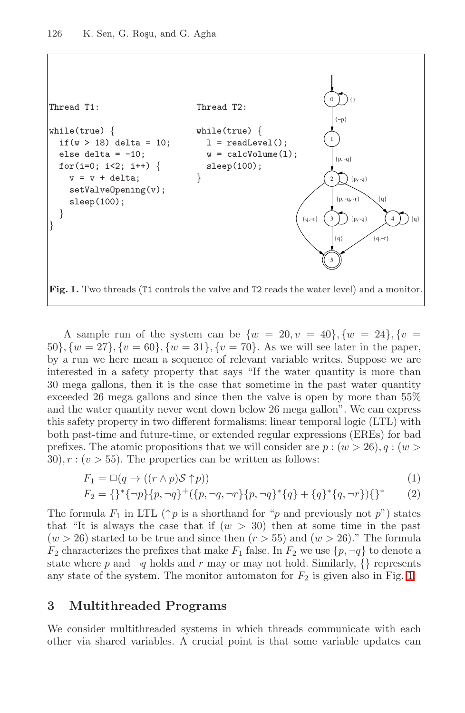<span id="page-3-0"></span>

A sample run of the system can be  $\{w = 20, v = 40\}, \{w = 24\}, \{v =$ 50,  $\{w = 27\}, \{v = 60\}, \{w = 31\}, \{v = 70\}.$  As we will see later in the paper, by a run we here mean a sequence of relevant variable writes. Suppose we are interested in a safety property that says "If the water quantity is more than 30 mega gallons, then it is the case that sometime in the past water quantity exceeded 26 mega gallons and since then the valve is open by more than 55% and the water quantity never went down below 26 mega gallon". We can express this safety property in two different formalisms: linear temporal logic (LTL) with both past-time and future-time, or extended regular expressions (EREs) for bad prefixes. The atomic propositions that we will consider are  $p:(w>26)$ ,  $q:(w>$  $30, r : (v > 55)$ . The properties can be written as follows:

$$
F_1 = \Box(q \to ((r \land p)S \uparrow p)) \tag{1}
$$

$$
F_2 = \{\}^* \{\neg p\} \{p, \neg q\}^+ (\{p, \neg q, \neg r\} \{p, \neg q\}^* \{q\} + \{q\}^* \{q, \neg r\}) \{\}^* \tag{2}
$$

The formula  $F_1$  in LTL ( $\uparrow p$  is a shorthand for "p and previously not p") states that "It is always the case that if  $(w > 30)$  then at some time in the past  $(w > 26)$  started to be true and since then  $(r > 55)$  and  $(w > 26)$ ." The formula  $F_2$  characterizes the prefixes that make  $F_1$  false. In  $F_2$  we use  $\{p, \neg q\}$  to denote a state where p and  $\neg q$  holds and r may or may not hold. Similarly,  $\{\}\$  represents any state of the system. The monitor automaton for  $F_2$  is given also in Fig. 1.

## **3 Multithreaded Programs**

We consider multithreaded systems in which threads communicate with each other via shared variables. A crucial point is that some variable updates can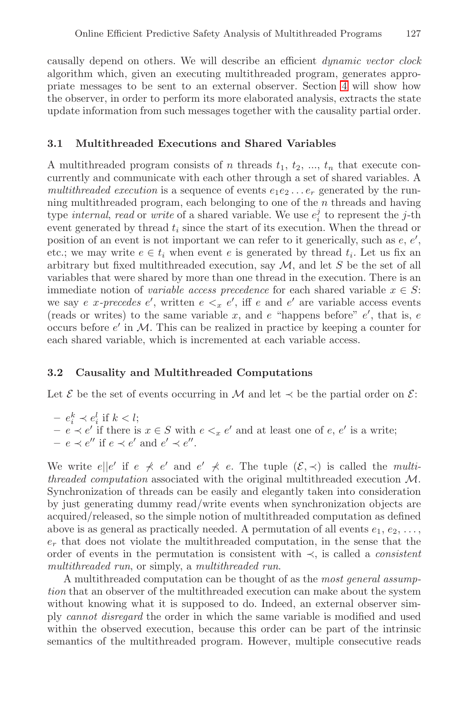causally depend on others. We will describe an efficient *dynamic vector clock* algorithm which, given an executing multithreaded program, generates appropriate messages to be sent to an external observer. Section [4](#page-6-0) will show how the observer, in order to perform its more elaborated analysis, extracts the state update information from such messages together with the causality partial order.

#### **3.1 Multithreaded Executions and Shared Variables**

A multithreaded program consists of n threads  $t_1, t_2, ..., t_n$  that execute concurrently and communicate with each other through a set of shared variables. A *multithreaded execution* is a sequence of events  $e_1e_2 \ldots e_r$  generated by the running multithreaded program, each belonging to one of the  $n$  threads and having type *internal*, *read* or *write* of a shared variable. We use  $e_i^j$  to represent the j-th event generated by thread  $t_i$  since the start of its execution. When the thread or position of an event is not important we can refer to it generically, such as  $e, e',$ etc.; we may write  $e \in t_i$  when event e is generated by thread  $t_i$ . Let us fix an arbitrary but fixed multithreaded execution, say  $M$ , and let  $S$  be the set of all variables that were shared by more than one thread in the execution. There is an immediate notion of *variable access precedence* for each shared variable  $x \in S$ : we say *e x-precedes*  $e'$ , written  $e \leq x e'$ , iff *e* and  $e'$  are variable access events (reads or writes) to the same variable x, and e "happens before"  $e'$ , that is,  $e$ occurs before  $e'$  in  $\mathcal M$ . This can be realized in practice by keeping a counter for each shared variable, which is incremented at each variable access.

#### **3.2 Causality and Multithreaded Computations**

Let  $\mathcal E$  be the set of events occurring in M and let  $\prec$  be the partial order on  $\mathcal E$ :

- $e_i^k \prec e_i^l$  if  $k < l$ ;
- $-\overset{\circ}{e}$  ≺  $e'$  if there is  $x \in S$  with  $e \leq x$  e' and at least one of e, e' is a write;
- $e \prec e''$  if  $e \prec e'$  and  $e' \prec e''$ .

We write  $e||e'$  if  $e \not\prec e'$  and  $e' \not\prec e$ . The tuple  $(\mathcal{E}, \prec)$  is called the *multithreaded computation* associated with the original multithreaded execution M. Synchronization of threads can be easily and elegantly taken into consideration by just generating dummy read/write events when synchronization objects are acquired/released, so the simple notion of multithreaded computation as defined above is as general as practically needed. A permutation of all events  $e_1, e_2, \ldots$ ,  $e_r$  that does not violate the multithreaded computation, in the sense that the order of events in the permutation is consistent with ≺, is called a *consistent multithreaded run*, or simply, a *multithreaded run*.

A multithreaded computation can be thought of as the *most general assumption* that an observer of the multithreaded execution can make about the system without knowing what it is supposed to do. Indeed, an external observer simply *cannot disregard* the order in which the same variable is modified and used within the observed execution, because this order can be part of the intrinsic semantics of the multithreaded program. However, multiple consecutive reads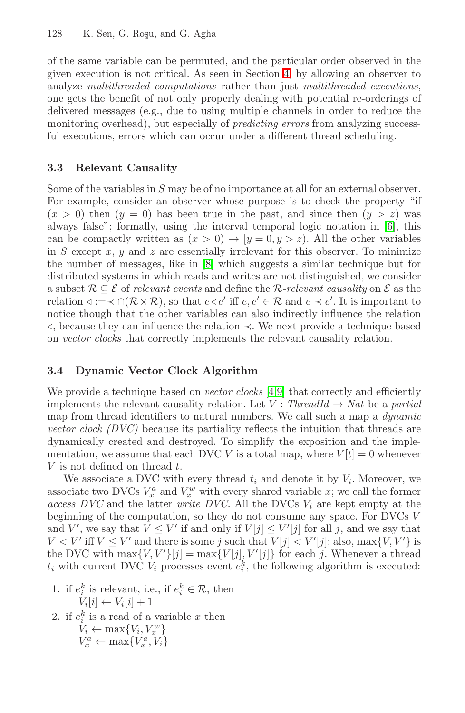<span id="page-5-0"></span>of the same variable can be permuted, and the particular order observed in the given execution is not critical. As seen in Section [4,](#page-6-0) by allowing an observer to analyze *multithreaded computations* rather than just *multithreaded executions*, one gets the benefit of not only properly dealing with potential re-orderings of delivered messages (e.g., due to using multiple channels in order to reduce the monitoring overhead), but especially of *predicting errors* from analyzing successful executions, errors which can occur under a different thread scheduling.

## **3.3 Relevant Causality**

Some of the variables in S may be of no importance at all for an external observer. For example, consider an observer whose purpose is to check the property "if  $(x > 0)$  then  $(y = 0)$  has been true in the past, and since then  $(y > z)$  was always false"; formally, using the interval temporal logic notation in [\[6\]](#page-14-0), this can be compactly written as  $(x > 0) \rightarrow [y = 0, y > z)$ . All the other variables in S except  $x, y$  and  $z$  are essentially irrelevant for this observer. To minimize the number of messages, like in [\[8\]](#page-14-0) which suggests a similar technique but for distributed systems in which reads and writes are not distinguished, we consider a subset R⊆E of *relevant events* and define the R*-relevant causality* on E as the relation  $\triangleleft := \triangleleft \cap (\mathcal{R} \times \mathcal{R})$ , so that  $e \triangleleft e'$  iff  $e, e' \in \mathcal{R}$  and  $e \prec e'$ . It is important to notice though that the other variables can also indirectly influence the relation , because they can influence the relation ≺. We next provide a technique based on *vector clocks* that correctly implements the relevant causality relation.

## **3.4 Dynamic Vector Clock Algorithm**

We provide a technique based on *vector clocks* [\[4,9\]](#page-14-0) that correctly and efficiently implements the relevant causality relation. Let  $V$  : *ThreadId*  $\rightarrow$  *Nat* be a *partial* map from thread identifiers to natural numbers. We call such a map a *dynamic vector clock (DVC)* because its partiality reflects the intuition that threads are dynamically created and destroyed. To simplify the exposition and the implementation, we assume that each DVC V is a total map, where  $V[t] = 0$  whenever V is not defined on thread t.

We associate a DVC with every thread  $t_i$  and denote it by  $V_i$ . Moreover, we associate two DVCs  $V_x^a$  and  $V_x^w$  with every shared variable x; we call the former *access DVC* and the latter *write DVC*. All the DVCs  $V_i$  are kept empty at the beginning of the computation, so they do not consume any space. For DVCs V and V', we say that  $V \leq V'$  if and only if  $V[j] \leq V'[j]$  for all j, and we say that  $V < V'$  iff  $V \leq V'$  and there is some j such that  $V[j] < V'[j]$ ; also, max $\{V, V'\}$  is the DVC with  $\max\{V, V'\}[j] = \max\{V[j], V'[j]\}$  for each j. Whenever a thread  $t_i$  with current DVC  $V_i$  processes event  $e_i^k$ , the following algorithm is executed:

- 1. if  $e_i^k$  is relevant, i.e., if  $e_i^k \in \mathcal{R}$ , then  $V_i[i] \leftarrow V_i[i] + 1$
- 2. if  $e_i^k$  is a read of a variable x then  $V_i \leftarrow \max\{V_i, V_x^w\}$  $V_x^a \leftarrow \max\{V_x^a, V_i\}$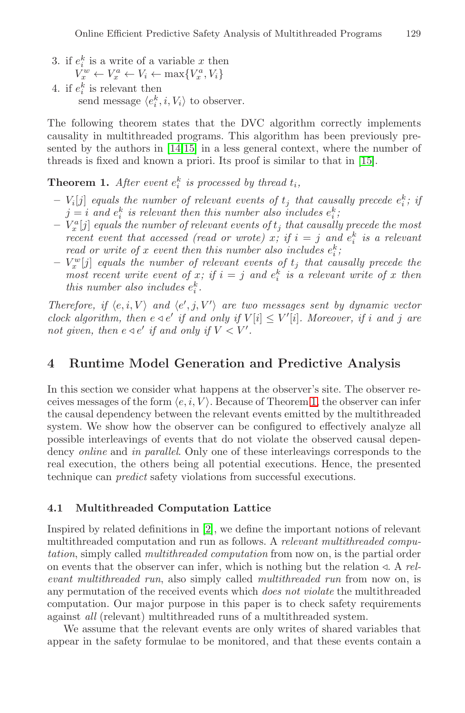- <span id="page-6-0"></span>3. if  $e_i^k$  is a write of a variable x then  $V_x^w \leftarrow V_x^a \leftarrow V_i \leftarrow \max\{V_x^a, V_i\}$
- 4. if  $e_i^k$  is relevant then send message  $\langle e_i^k, i, V_i \rangle$  to observer.

The following theorem states that the DVC algorithm correctly implements causality in multithreaded programs. This algorithm has been previously presented by the authors in [\[14,15\]](#page-15-0) in a less general context, where the number of threads is fixed and known a priori. Its proof is similar to that in [\[15\]](#page-15-0).

**Theorem 1.** *After event*  $e_i^k$  *is processed by thread*  $t_i$ *,* 

- $V_i[j]$  *equals the number of relevant events of*  $t_j$  *that causally precede*  $e_i^k$ ; *if*  $j = i$  and  $e_i^k$  is relevant then this number also includes  $e_i^k$ ;
- $V_x^a[j]$  *equals the number of relevant events of*  $t_j$  *that causally precede the most recent event that accessed (read or wrote)* x; if  $i = j$  and  $e_i^k$  is a relevant *read or write of* x *event then this number also includes*  $e_i^k$ ;
- $V_x^w[j]$  *equals the number of relevant events of*  $t_j$  *that causally precede the most* recent write event of x; if  $i = j$  and  $e_i^k$  is a relevant write of x then *this number also includes*  $e_i^k$ .

*Therefore, if*  $\langle e, i, V \rangle$  and  $\langle e', j, V' \rangle$  are two messages sent by dynamic vector *clock algorithm, then*  $e \triangleleft e'$  *if and only if*  $V[i] \leq V'[i]$ *. Moreover, if i and j are* not given, then  $e \triangleleft e'$  if and only if  $V \lt V'$ .

## **4 Runtime Model Generation and Predictive Analysis**

In this section we consider what happens at the observer's site. The observer receives messages of the form  $\langle e, i, V \rangle$ . Because of Theorem 1, the observer can infer the causal dependency between the relevant events emitted by the multithreaded system. We show how the observer can be configured to effectively analyze all possible interleavings of events that do not violate the observed causal dependency *online* and *in parallel*. Only one of these interleavings corresponds to the real execution, the others being all potential executions. Hence, the presented technique can *predict* safety violations from successful executions.

#### **4.1 Multithreaded Computation Lattice**

Inspired by related definitions in [\[2\]](#page-14-0), we define the important notions of relevant multithreaded computation and run as follows. A *relevant multithreaded computation*, simply called *multithreaded computation* from now on, is the partial order on events that the observer can infer, which is nothing but the relation . A *relevant multithreaded run*, also simply called *multithreaded run* from now on, is any permutation of the received events which *does not violate* the multithreaded computation. Our major purpose in this paper is to check safety requirements against *all* (relevant) multithreaded runs of a multithreaded system.

We assume that the relevant events are only writes of shared variables that appear in the safety formulae to be monitored, and that these events contain a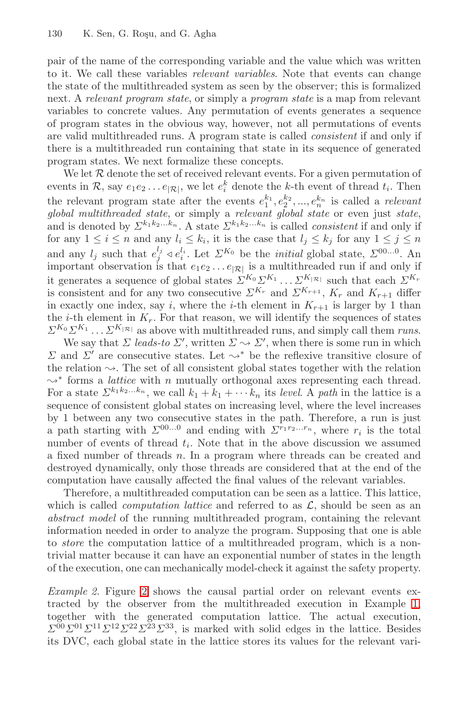pair of the name of the corresponding variable and the value which was written to it. We call these variables *relevant variables*. Note that events can change the state of the multithreaded system as seen by the observer; this is formalized next. A *relevant program state*, or simply a *program state* is a map from relevant variables to concrete values. Any permutation of events generates a sequence of program states in the obvious way, however, not all permutations of events are valid multithreaded runs. A program state is called *consistent* if and only if there is a multithreaded run containing that state in its sequence of generated program states. We next formalize these concepts.

We let  $R$  denote the set of received relevant events. For a given permutation of events in R, say  $e_1e_2 \ldots e_{|\mathcal{R}|}$ , we let  $e_i^k$  denote the k-th event of thread  $t_i$ . Then the relevant program state after the events  $e_1^{k_1}, e_2^{k_2}, ..., e_n^{k_n}$  is called a *relevant global multithreaded state*, or simply a *relevant global state* or even just *state*, and is denoted by  $\sum_{k_1,k_2...k_n} A$  state  $\sum_{k_1,k_2...k_n}$  is called *consistent* if and only if for any  $1 \leq i \leq n$  and any  $l_i \leq k_i$ , it is the case that  $l_j \leq k_j$  for any  $1 \leq j \leq n$ and any  $l_j$  such that  $e_j^{l_j} \triangleleft e_i^{l_i}$ . Let  $\Sigma^{K_0}$  be the *initial* global state,  $\Sigma^{00...0}$ . An important observation is that  $e_1e_2 \ldots e_{|\mathcal{R}|}$  is a multithreaded run if and only if it generates a sequence of global states  $\varSigma^{K_0}\varSigma^{K_1}\ldots\varSigma^{K_{|\mathcal{R}|}}$  such that each  $\varSigma^{K_r}$ is consistent and for any two consecutive  $\Sigma^{K_r}$  and  $\Sigma^{K_{r+1}}$ ,  $K_r$  and  $K_{r+1}$  differ in exactly one index, say i, where the i-th element in  $K_{r+1}$  is larger by 1 than the *i*-th element in  $K_r$ . For that reason, we will identify the sequences of states  $\sum^{K_0} \sum^{K_1} \ldots \sum^{K_{|\mathcal{R}|}}$  as above with multithreaded runs, and simply call them *runs*.

We say that  $\Sigma$  *leads-to*  $\Sigma'$ , written  $\Sigma \sim \Sigma'$ , when there is some run in which  $\Sigma$  and  $\Sigma'$  are consecutive states. Let  $\sim^*$  be the reflexive transitive closure of the relation  $\sim$ . The set of all consistent global states together with the relation ❀<sup>∗</sup> forms a *lattice* with n mutually orthogonal axes representing each thread. For a state  $\sum_{k_1,k_2...k_n}$ , we call  $k_1 + k_1 + \cdots k_n$  its *level*. A *path* in the lattice is a sequence of consistent global states on increasing level, where the level increases by 1 between any two consecutive states in the path. Therefore, a run is just a path starting with  $\Sigma^{00...0}$  and ending with  $\Sigma^{r_1r_2...r_n}$ , where  $r_i$  is the total number of events of thread  $t_i$ . Note that in the above discussion we assumed a fixed number of threads n. In a program where threads can be created and destroyed dynamically, only those threads are considered that at the end of the computation have causally affected the final values of the relevant variables.

Therefore, a multithreaded computation can be seen as a lattice. This lattice, which is called *computation lattice* and referred to as  $\mathcal{L}$ , should be seen as an *abstract model* of the running multithreaded program, containing the relevant information needed in order to analyze the program. Supposing that one is able to *store* the computation lattice of a multithreaded program, which is a nontrivial matter because it can have an exponential number of states in the length of the execution, one can mechanically model-check it against the safety property.

*Example 2.* Figure [2](#page-8-0) shows the causal partial order on relevant events extracted by the observer from the multithreaded execution in Example [1,](#page-2-0) together with the generated computation lattice. The actual execution,  $\sum^{00} \sum^{01} \sum^{11} \sum^{12} \sum^{22} \sum^{23} \sum^{33}$ , is marked with solid edges in the lattice. Besides its DVC, each global state in the lattice stores its values for the relevant vari-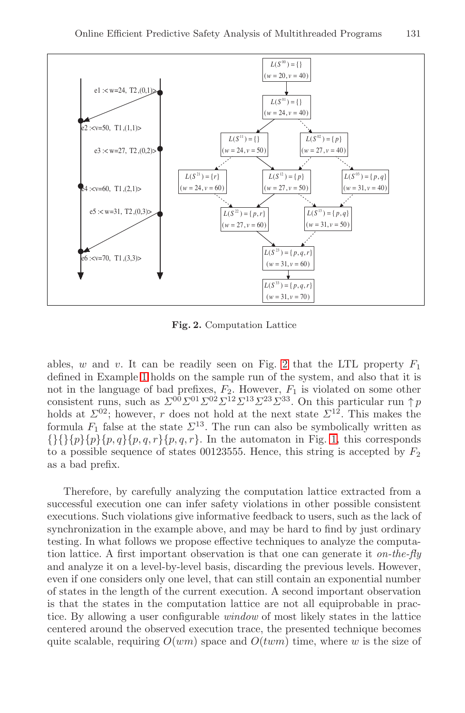<span id="page-8-0"></span>

**Fig. 2.** Computation Lattice

ables, w and v. It can be readily seen on Fig. 2 that the LTL property  $F_1$ defined in Example [1](#page-2-0) holds on the sample run of the system, and also that it is not in the language of bad prefixes,  $F_2$ . However,  $F_1$  is violated on some other consistent runs, such as  $\Sigma^{00} \Sigma^{01} \Sigma^{02} \Sigma^{12} \Sigma^{13} \Sigma^{23} \Sigma^{33}$ . On this particular run  $\uparrow p$ holds at  $\Sigma^{02}$ ; however, r does not hold at the next state  $\Sigma^{12}$ . This makes the formula  $F_1$  false at the state  $\Sigma^{13}$ . The run can also be symbolically written as  ${\{\}\{\{p\}\{p,q\}\}\{p,q,r\}\{p,q,r\}.$  In the automaton in Fig. [1,](#page-3-0) this corresponds to a possible sequence of states 00123555. Hence, this string is accepted by  $F_2$ as a bad prefix.

Therefore, by carefully analyzing the computation lattice extracted from a successful execution one can infer safety violations in other possible consistent executions. Such violations give informative feedback to users, such as the lack of synchronization in the example above, and may be hard to find by just ordinary testing. In what follows we propose effective techniques to analyze the computation lattice. A first important observation is that one can generate it *on-the-fly* and analyze it on a level-by-level basis, discarding the previous levels. However, even if one considers only one level, that can still contain an exponential number of states in the length of the current execution. A second important observation is that the states in the computation lattice are not all equiprobable in practice. By allowing a user configurable *window* of most likely states in the lattice centered around the observed execution trace, the presented technique becomes quite scalable, requiring  $O(wm)$  space and  $O(twm)$  time, where w is the size of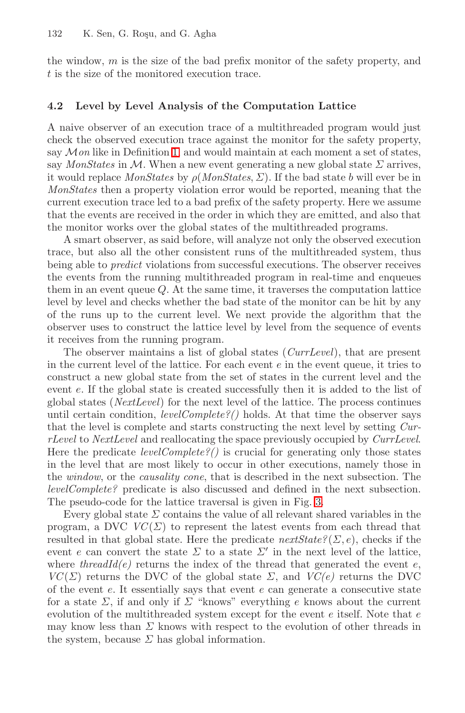the window, m is the size of the bad prefix monitor of the safety property, and t is the size of the monitored execution trace.

#### **4.2 Level by Level Analysis of the Computation Lattice**

A naive observer of an execution trace of a multithreaded program would just check the observed execution trace against the monitor for the safety property, say M*on* like in Definition [1,](#page-2-0) and would maintain at each moment a set of states, say *MonStates* in M. When a new event generating a new global state  $\Sigma$  arrives, it would replace *MonStates* by  $\rho(MonStates, \Sigma)$ . If the bad state b will ever be in *MonStates* then a property violation error would be reported, meaning that the current execution trace led to a bad prefix of the safety property. Here we assume that the events are received in the order in which they are emitted, and also that the monitor works over the global states of the multithreaded programs.

A smart observer, as said before, will analyze not only the observed execution trace, but also all the other consistent runs of the multithreaded system, thus being able to *predict* violations from successful executions. The observer receives the events from the running multithreaded program in real-time and enqueues them in an event queue  $Q$ . At the same time, it traverses the computation lattice level by level and checks whether the bad state of the monitor can be hit by any of the runs up to the current level. We next provide the algorithm that the observer uses to construct the lattice level by level from the sequence of events it receives from the running program.

The observer maintains a list of global states (*CurrLevel*), that are present in the current level of the lattice. For each event  $e$  in the event queue, it tries to construct a new global state from the set of states in the current level and the event e. If the global state is created successfully then it is added to the list of global states (*NextLevel*) for the next level of the lattice. The process continues until certain condition, *levelComplete?()* holds. At that time the observer says that the level is complete and starts constructing the next level by setting *CurrLevel* to *NextLevel* and reallocating the space previously occupied by *CurrLevel*. Here the predicate *levelComplete?()* is crucial for generating only those states in the level that are most likely to occur in other executions, namely those in the *window*, or the *causality cone*, that is described in the next subsection. The *levelComplete?* predicate is also discussed and defined in the next subsection. The pseudo-code for the lattice traversal is given in Fig. [3.](#page-10-0)

Every global state  $\Sigma$  contains the value of all relevant shared variables in the program, a DVC  $VC(\Sigma)$  to represent the latest events from each thread that resulted in that global state. Here the predicate *nextState?*(Σ,e), checks if the event e can convert the state  $\Sigma$  to a state  $\Sigma'$  in the next level of the lattice, where *threadId(e)* returns the index of the thread that generated the event  $e$ , *VC*( $\Sigma$ ) returns the DVC of the global state  $\Sigma$ , and *VC(e)* returns the DVC of the event  $e$ . It essentially says that event  $e$  can generate a consecutive state for a state  $\Sigma$ , if and only if  $\Sigma$  "knows" everything e knows about the current evolution of the multithreaded system except for the event  $e$  itself. Note that  $e$ may know less than  $\Sigma$  knows with respect to the evolution of other threads in the system, because  $\Sigma$  has global information.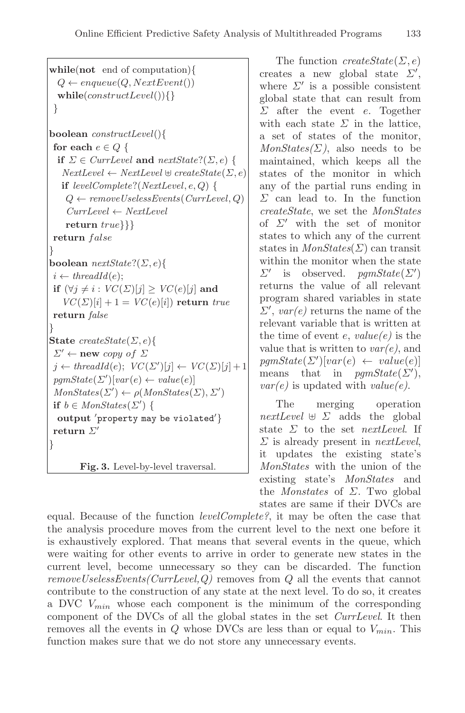```
while(not end of computation){
  Q \leftarrow enqueue(Q, NextEvent()while (constructLevel()){}}
boolean constructLevel(){
for each e \in Q {
 if \Sigma \in \text{CurrLevel} and \text{nextState}?(\Sigma, e) {
   NextLevel \leftarrow NextLevel \oplus createState(\Sigma, e)if levelComplete?(NextLevel, e, Q) {
    Q \leftarrow removeUselessEvents(CurLevel, Q)Currentevel \leftarrow NextLevelreturn true}}}
return false
}
boolean nextState?(\Sigma, e){
i \leftarrow \text{threadId}(e);if (\forall j \neq i : VC(\Sigma)[j]) \geq VC(e)[j] and
    VC(\Sigma)[i]+1= VC(e)[i]) return true
return false
}
State createState(\Sigma,e){
\Sigma' \leftarrow new copy of \Sigmaj \leftarrow \mathit{threadId}(e); \ \ \mathit{VC}(\mathit{\Sigma}')[j] \leftarrow \ \mathit{VC}(\mathit{\Sigma})[j] + 1pgmState(\Sigma')[var(e) \leftarrow value(e)]MonStates(\Sigma') \leftarrow \rho(MonStates(\Sigma),\Sigma')if b \in MonStates(\Sigma') {
  \textbf{output} \text{ 'property may be violated' } \}return Σ
}
         Fig. 3. Level-by-level traversal.
```
The function *createState*(Σ,e) creates a new global state  $\Sigma'$ , where  $\Sigma'$  is a possible consistent global state that can result from  $\Sigma$  after the event e. Together with each state  $\Sigma$  in the lattice, a set of states of the monitor,  $MonStates(\Sigma)$ , also needs to be maintained, which keeps all the states of the monitor in which any of the partial runs ending in  $\Sigma$  can lead to. In the function *createState*, we set the *MonStates* of  $\Sigma'$  with the set of monitor states to which any of the current states in *MonStates*(Σ) can transit within the monitor when the state  $\Sigma'$  is observed. *pgmState*( $\Sigma'$ ) returns the value of all relevant program shared variables in state  $\Sigma'$ ,  $var(e)$  returns the name of the relevant variable that is written at the time of event e, *value(e)* is the value that is written to *var(e)*, and  $pgmState(\Sigma')[var(e) \leftarrow value(e)]$ means that in  $pgmState(\Sigma'),$  $var(e)$  is updated with  $value(e)$ .

The merging operation *nextLevel*  $\uplus$   $\Sigma$  adds the global state  $\Sigma$  to the set *nextLevel*. If Σ is already present in *nextLevel*, it updates the existing state's *MonStates* with the union of the existing state's *MonStates* and the *Monstates* of Σ. Two global states are same if their DVCs are

equal. Because of the function *levelComplete?*, it may be often the case that the analysis procedure moves from the current level to the next one before it is exhaustively explored. That means that several events in the queue, which were waiting for other events to arrive in order to generate new states in the current level, become unnecessary so they can be discarded. The function *removeUselessEvents(CurrLevel,Q)* removes from Q all the events that cannot contribute to the construction of any state at the next level. To do so, it creates a DVC  $V_{min}$  whose each component is the minimum of the corresponding component of the DVCs of all the global states in the set *CurrLevel*. It then removes all the events in Q whose DVCs are less than or equal to  $V_{min}$ . This function makes sure that we do not store any unnecessary events.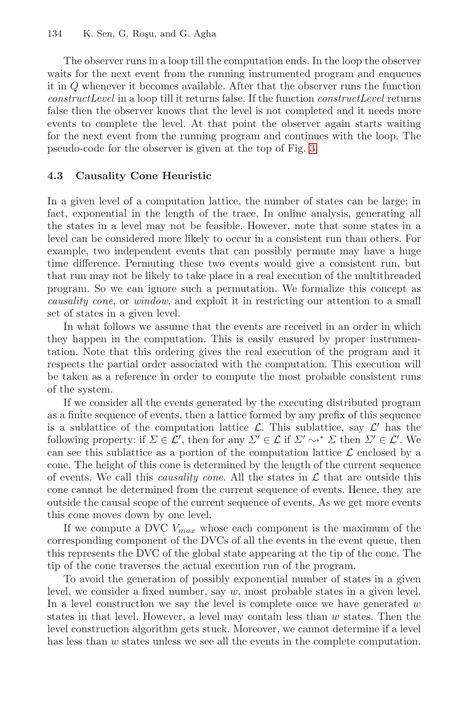The observer runs in a loop till the computation ends. In the loop the observer waits for the next event from the running instrumented program and enqueues it in Q whenever it becomes available. After that the observer runs the function *constructLevel* in a loop till it returns false. If the function *constructLevel* returns false then the observer knows that the level is not completed and it needs more events to complete the level. At that point the observer again starts waiting for the next event from the running program and continues with the loop. The pseudo-code for the observer is given at the top of Fig. [3.](#page-10-0)

#### **4.3 Causality Cone Heuristic**

In a given level of a computation lattice, the number of states can be large; in fact, exponential in the length of the trace. In online analysis, generating all the states in a level may not be feasible. However, note that some states in a level can be considered more likely to occur in a consistent run than others. For example, two independent events that can possibly permute may have a huge time difference. Permuting these two events would give a consistent run, but that run may not be likely to take place in a real execution of the multithreaded program. So we can ignore such a permutation. We formalize this concept as *causality cone*, or *window*, and exploit it in restricting our attention to a small set of states in a given level.

In what follows we assume that the events are received in an order in which they happen in the computation. This is easily ensured by proper instrumentation. Note that this ordering gives the real execution of the program and it respects the partial order associated with the computation. This execution will be taken as a reference in order to compute the most probable consistent runs of the system.

If we consider all the events generated by the executing distributed program as a finite sequence of events, then a lattice formed by any prefix of this sequence is a sublattice of the computation lattice  $\mathcal{L}$ . This sublattice, say  $\mathcal{L}'$  has the following property: if  $\Sigma \in \mathcal{L}'$ , then for any  $\Sigma' \in \mathcal{L}$  if  $\Sigma' \leadsto^* \Sigma$  then  $\Sigma' \in \mathcal{L}'$ . We can see this sublattice as a portion of the computation lattice  $\mathcal L$  enclosed by a cone. The height of this cone is determined by the length of the current sequence of events. We call this *causality cone*. All the states in  $\mathcal L$  that are outside this cone cannot be determined from the current sequence of events. Hence, they are outside the causal scope of the current sequence of events. As we get more events this cone moves down by one level.

If we compute a DVC  $V_{max}$  whose each component is the maximum of the corresponding component of the DVCs of all the events in the event queue, then this represents the DVC of the global state appearing at the tip of the cone. The tip of the cone traverses the actual execution run of the program.

To avoid the generation of possibly exponential number of states in a given level, we consider a fixed number, say w, most probable states in a given level. In a level construction we say the level is complete once we have generated  $w$ states in that level. However, a level may contain less than  $w$  states. Then the level construction algorithm gets stuck. Moreover, we cannot determine if a level has less than w states unless we see all the events in the complete computation.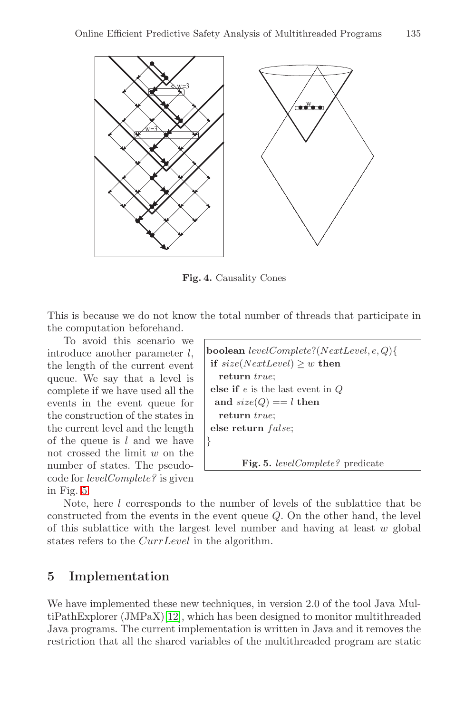

**Fig. 4.** Causality Cones

This is because we do not know the total number of threads that participate in the computation beforehand.

To avoid this scenario we introduce another parameter  $l$ , the length of the current event queue. We say that a level is complete if we have used all the events in the event queue for the construction of the states in the current level and the length of the queue is  $l$  and we have not crossed the limit w on the number of states. The pseudocode for *levelComplete?* is given in Fig. 5.

```
boolean levelComplete?(NextLevel, e, Q){
if size(NextLevel) \geq w then
  return true;
 else if e is the last event in Q
  and size(Q) == l then
  return true;
else return false;
}
        Fig. 5. levelComplete? predicate
```
Note, here l corresponds to the number of levels of the sublattice that be constructed from the events in the event queue  $Q$ . On the other hand, the level of this sublattice with the largest level number and having at least  $w$  global states refers to the CurrLevel in the algorithm.

## **5 Implementation**

We have implemented these new techniques, in version 2.0 of the tool Java MultiPathExplorer (JMPaX)[\[12\]](#page-15-0), which has been designed to monitor multithreaded Java programs. The current implementation is written in Java and it removes the restriction that all the shared variables of the multithreaded program are static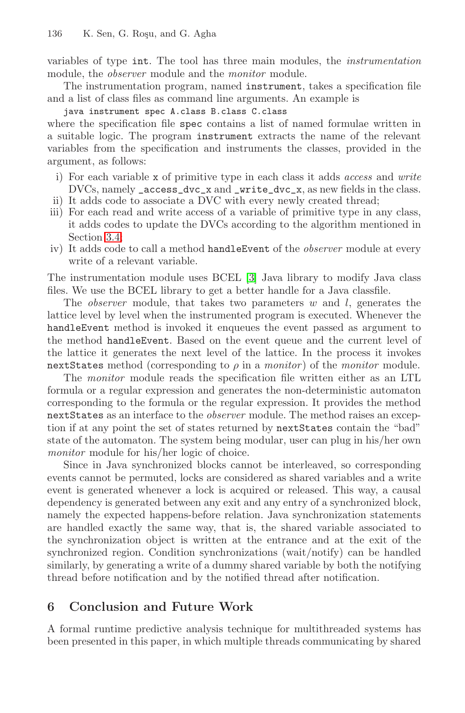variables of type int. The tool has three main modules, the *instrumentation* module, the *observer* module and the *monitor* module.

The instrumentation program, named instrument, takes a specification file and a list of class files as command line arguments. An example is

java instrument spec A.class B.class C.class

where the specification file spec contains a list of named formulae written in a suitable logic. The program instrument extracts the name of the relevant variables from the specification and instruments the classes, provided in the argument, as follows:

- i) For each variable x of primitive type in each class it adds *access* and *write* DVCs, namely \_access\_dvc\_x and \_write\_dvc\_x, as new fields in the class.
- ii) It adds code to associate a DVC with every newly created thread;
- iii) For each read and write access of a variable of primitive type in any class, it adds codes to update the DVCs according to the algorithm mentioned in Section [3.4;](#page-5-0)
- iv) It adds code to call a method handleEvent of the *observer* module at every write of a relevant variable.

The instrumentation module uses BCEL [\[3\]](#page-14-0) Java library to modify Java class files. We use the BCEL library to get a better handle for a Java classfile.

The *observer* module, that takes two parameters w and l, generates the lattice level by level when the instrumented program is executed. Whenever the handleEvent method is invoked it enqueues the event passed as argument to the method handleEvent. Based on the event queue and the current level of the lattice it generates the next level of the lattice. In the process it invokes next States method (corresponding to  $\rho$  in a *monitor*) of the *monitor* module.

The *monitor* module reads the specification file written either as an LTL formula or a regular expression and generates the non-deterministic automaton corresponding to the formula or the regular expression. It provides the method nextStates as an interface to the *observer* module. The method raises an exception if at any point the set of states returned by nextStates contain the "bad" state of the automaton. The system being modular, user can plug in his/her own *monitor* module for his/her logic of choice.

Since in Java synchronized blocks cannot be interleaved, so corresponding events cannot be permuted, locks are considered as shared variables and a write event is generated whenever a lock is acquired or released. This way, a causal dependency is generated between any exit and any entry of a synchronized block, namely the expected happens-before relation. Java synchronization statements are handled exactly the same way, that is, the shared variable associated to the synchronization object is written at the entrance and at the exit of the synchronized region. Condition synchronizations (wait/notify) can be handled similarly, by generating a write of a dummy shared variable by both the notifying thread before notification and by the notified thread after notification.

# **6 Conclusion and Future Work**

A formal runtime predictive analysis technique for multithreaded systems has been presented in this paper, in which multiple threads communicating by shared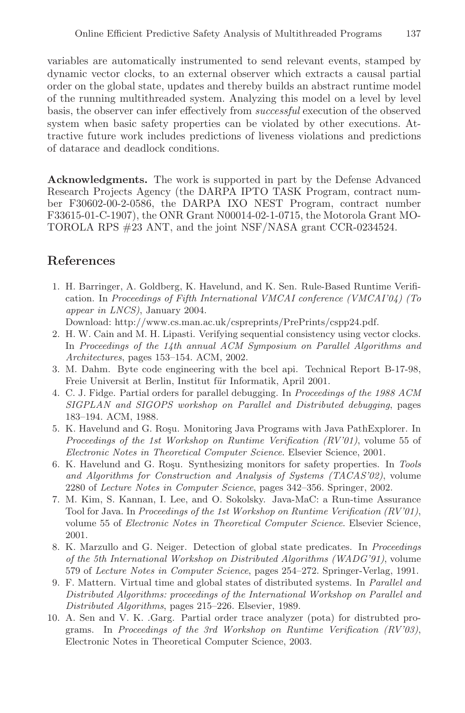<span id="page-14-0"></span>variables are automatically instrumented to send relevant events, stamped by dynamic vector clocks, to an external observer which extracts a causal partial order on the global state, updates and thereby builds an abstract runtime model of the running multithreaded system. Analyzing this model on a level by level basis, the observer can infer effectively from *successful* execution of the observed system when basic safety properties can be violated by other executions. Attractive future work includes predictions of liveness violations and predictions of datarace and deadlock conditions.

**Acknowledgments.** The work is supported in part by the Defense Advanced Research Projects Agency (the DARPA IPTO TASK Program, contract number F30602-00-2-0586, the DARPA IXO NEST Program, contract number F33615-01-C-1907), the ONR Grant N00014-02-1-0715, the Motorola Grant MO-TOROLA RPS #23 ANT, and the joint NSF/NASA grant CCR-0234524.

## **References**

1. H. Barringer, A. Goldberg, K. Havelund, and K. Sen. Rule-Based Runtime Verification. In Proceedings of Fifth International VMCAI conference (VMCAI'04) (To appear in LNCS), January 2004.

Download: http://www.cs.man.ac.uk/cspreprints/PrePrints/cspp24.pdf.

- 2. H. W. Cain and M. H. Lipasti. Verifying sequential consistency using vector clocks. In Proceedings of the 14th annual ACM Symposium on Parallel Algorithms and Architectures, pages 153–154. ACM, 2002.
- 3. M. Dahm. Byte code engineering with the bcel api. Technical Report B-17-98, Freie Universit at Berlin, Institut für Informatik, April 2001.
- 4. C. J. Fidge. Partial orders for parallel debugging. In Proceedings of the 1988 ACM SIGPLAN and SIGOPS workshop on Parallel and Distributed debugging, pages 183–194. ACM, 1988.
- 5. K. Havelund and G. Roşu. Monitoring Java Programs with Java PathExplorer. In Proceedings of the 1st Workshop on Runtime Verification (RV'01), volume 55 of Electronic Notes in Theoretical Computer Science. Elsevier Science, 2001.
- 6. K. Havelund and G. Roşu. Synthesizing monitors for safety properties. In Tools and Algorithms for Construction and Analysis of Systems (TACAS'02), volume 2280 of Lecture Notes in Computer Science, pages 342–356. Springer, 2002.
- 7. M. Kim, S. Kannan, I. Lee, and O. Sokolsky. Java-MaC: a Run-time Assurance Tool for Java. In Proceedings of the 1st Workshop on Runtime Verification (RV'01), volume 55 of Electronic Notes in Theoretical Computer Science. Elsevier Science, 2001.
- 8. K. Marzullo and G. Neiger. Detection of global state predicates. In Proceedings of the 5th International Workshop on Distributed Algorithms (WADG'91), volume 579 of Lecture Notes in Computer Science, pages 254–272. Springer-Verlag, 1991.
- 9. F. Mattern. Virtual time and global states of distributed systems. In Parallel and Distributed Algorithms: proceedings of the International Workshop on Parallel and Distributed Algorithms, pages 215–226. Elsevier, 1989.
- 10. A. Sen and V. K. .Garg. Partial order trace analyzer (pota) for distrubted programs. In Proceedings of the 3rd Workshop on Runtime Verification  $(RV'03)$ , Electronic Notes in Theoretical Computer Science, 2003.